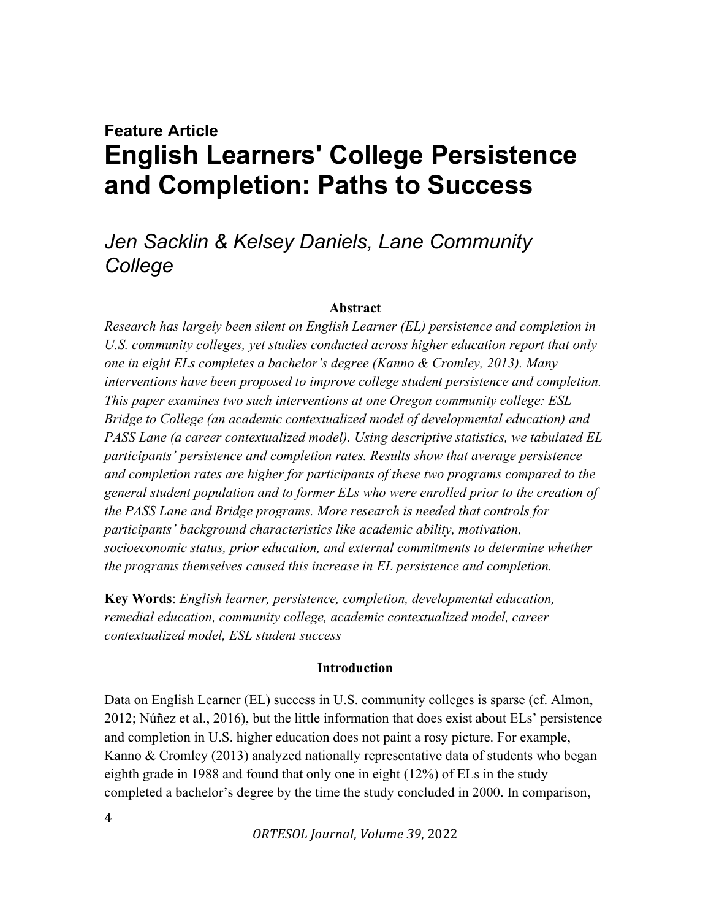# Feature Article English Learners' College Persistence and Completion: Paths to Success

## Jen Sacklin & Kelsey Daniels, Lane Community **College**

#### Abstract

Research has largely been silent on English Learner (EL) persistence and completion in U.S. community colleges, yet studies conducted across higher education report that only one in eight ELs completes a bachelor's degree (Kanno & Cromley, 2013). Many interventions have been proposed to improve college student persistence and completion. This paper examines two such interventions at one Oregon community college: ESL Bridge to College (an academic contextualized model of developmental education) and PASS Lane (a career contextualized model). Using descriptive statistics, we tabulated EL participants' persistence and completion rates. Results show that average persistence and completion rates are higher for participants of these two programs compared to the general student population and to former ELs who were enrolled prior to the creation of the PASS Lane and Bridge programs. More research is needed that controls for participants' background characteristics like academic ability, motivation, socioeconomic status, prior education, and external commitments to determine whether the programs themselves caused this increase in EL persistence and completion.

Key Words: English learner, persistence, completion, developmental education, remedial education, community college, academic contextualized model, career contextualized model, ESL student success

#### Introduction

Data on English Learner (EL) success in U.S. community colleges is sparse (cf. Almon, 2012; Núñez et al., 2016), but the little information that does exist about ELs' persistence and completion in U.S. higher education does not paint a rosy picture. For example, Kanno & Cromley (2013) analyzed nationally representative data of students who began eighth grade in 1988 and found that only one in eight (12%) of ELs in the study completed a bachelor's degree by the time the study concluded in 2000. In comparison,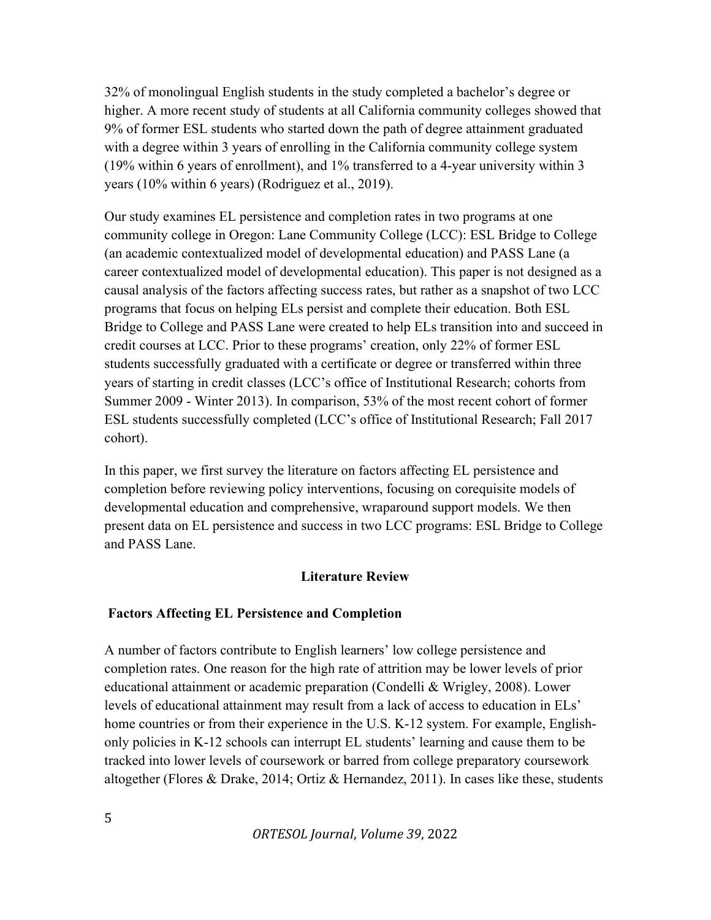32% of monolingual English students in the study completed a bachelor's degree or higher. A more recent study of students at all California community colleges showed that 9% of former ESL students who started down the path of degree attainment graduated with a degree within 3 years of enrolling in the California community college system (19% within 6 years of enrollment), and 1% transferred to a 4-year university within 3 years (10% within 6 years) (Rodriguez et al., 2019).

Our study examines EL persistence and completion rates in two programs at one community college in Oregon: Lane Community College (LCC): ESL Bridge to College (an academic contextualized model of developmental education) and PASS Lane (a career contextualized model of developmental education). This paper is not designed as a causal analysis of the factors affecting success rates, but rather as a snapshot of two LCC programs that focus on helping ELs persist and complete their education. Both ESL Bridge to College and PASS Lane were created to help ELs transition into and succeed in credit courses at LCC. Prior to these programs' creation, only 22% of former ESL students successfully graduated with a certificate or degree or transferred within three years of starting in credit classes (LCC's office of Institutional Research; cohorts from Summer 2009 - Winter 2013). In comparison, 53% of the most recent cohort of former ESL students successfully completed (LCC's office of Institutional Research; Fall 2017 cohort).

In this paper, we first survey the literature on factors affecting EL persistence and completion before reviewing policy interventions, focusing on corequisite models of developmental education and comprehensive, wraparound support models. We then present data on EL persistence and success in two LCC programs: ESL Bridge to College and PASS Lane.

#### Literature Review

#### Factors Affecting EL Persistence and Completion

A number of factors contribute to English learners' low college persistence and completion rates. One reason for the high rate of attrition may be lower levels of prior educational attainment or academic preparation (Condelli & Wrigley, 2008). Lower levels of educational attainment may result from a lack of access to education in ELs' home countries or from their experience in the U.S. K-12 system. For example, Englishonly policies in K-12 schools can interrupt EL students' learning and cause them to be tracked into lower levels of coursework or barred from college preparatory coursework altogether (Flores & Drake, 2014; Ortiz & Hernandez, 2011). In cases like these, students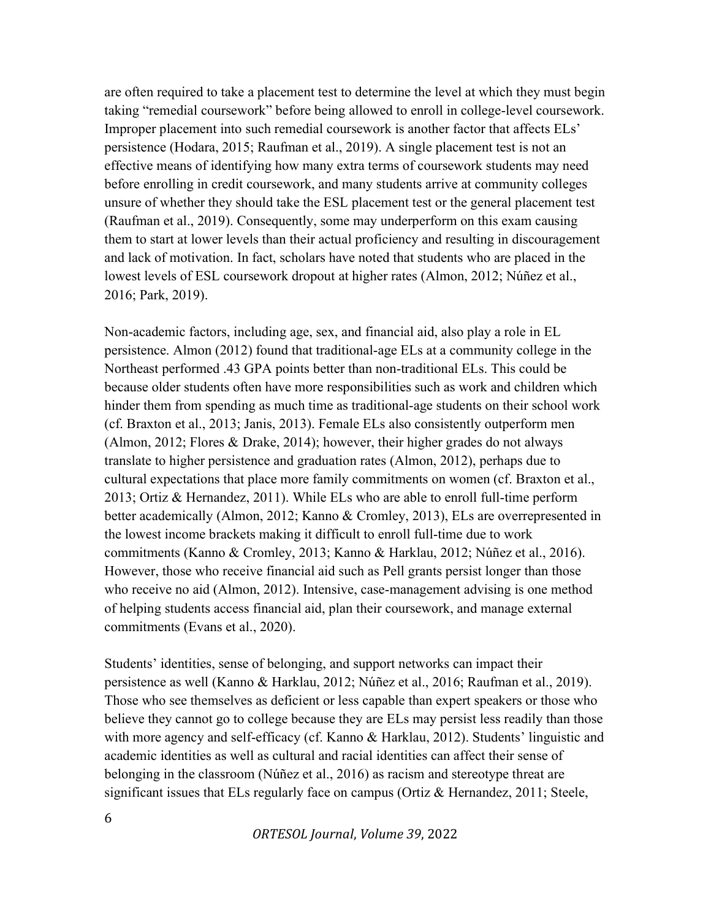are often required to take a placement test to determine the level at which they must begin taking "remedial coursework" before being allowed to enroll in college-level coursework. Improper placement into such remedial coursework is another factor that affects ELs' persistence (Hodara, 2015; Raufman et al., 2019). A single placement test is not an effective means of identifying how many extra terms of coursework students may need before enrolling in credit coursework, and many students arrive at community colleges unsure of whether they should take the ESL placement test or the general placement test (Raufman et al., 2019). Consequently, some may underperform on this exam causing them to start at lower levels than their actual proficiency and resulting in discouragement and lack of motivation. In fact, scholars have noted that students who are placed in the lowest levels of ESL coursework dropout at higher rates (Almon, 2012; Núñez et al., 2016; Park, 2019).

Non-academic factors, including age, sex, and financial aid, also play a role in EL persistence. Almon (2012) found that traditional-age ELs at a community college in the Northeast performed .43 GPA points better than non-traditional ELs. This could be because older students often have more responsibilities such as work and children which hinder them from spending as much time as traditional-age students on their school work (cf. Braxton et al., 2013; Janis, 2013). Female ELs also consistently outperform men (Almon, 2012; Flores & Drake, 2014); however, their higher grades do not always translate to higher persistence and graduation rates (Almon, 2012), perhaps due to cultural expectations that place more family commitments on women (cf. Braxton et al., 2013; Ortiz & Hernandez, 2011). While ELs who are able to enroll full-time perform better academically (Almon, 2012; Kanno & Cromley, 2013), ELs are overrepresented in the lowest income brackets making it difficult to enroll full-time due to work commitments (Kanno & Cromley, 2013; Kanno & Harklau, 2012; Núñez et al., 2016). However, those who receive financial aid such as Pell grants persist longer than those who receive no aid (Almon, 2012). Intensive, case-management advising is one method of helping students access financial aid, plan their coursework, and manage external commitments (Evans et al., 2020).

Students' identities, sense of belonging, and support networks can impact their persistence as well (Kanno & Harklau, 2012; Núñez et al., 2016; Raufman et al., 2019). Those who see themselves as deficient or less capable than expert speakers or those who believe they cannot go to college because they are ELs may persist less readily than those with more agency and self-efficacy (cf. Kanno & Harklau, 2012). Students' linguistic and academic identities as well as cultural and racial identities can affect their sense of belonging in the classroom (Núñez et al., 2016) as racism and stereotype threat are significant issues that ELs regularly face on campus (Ortiz & Hernandez, 2011; Steele,

6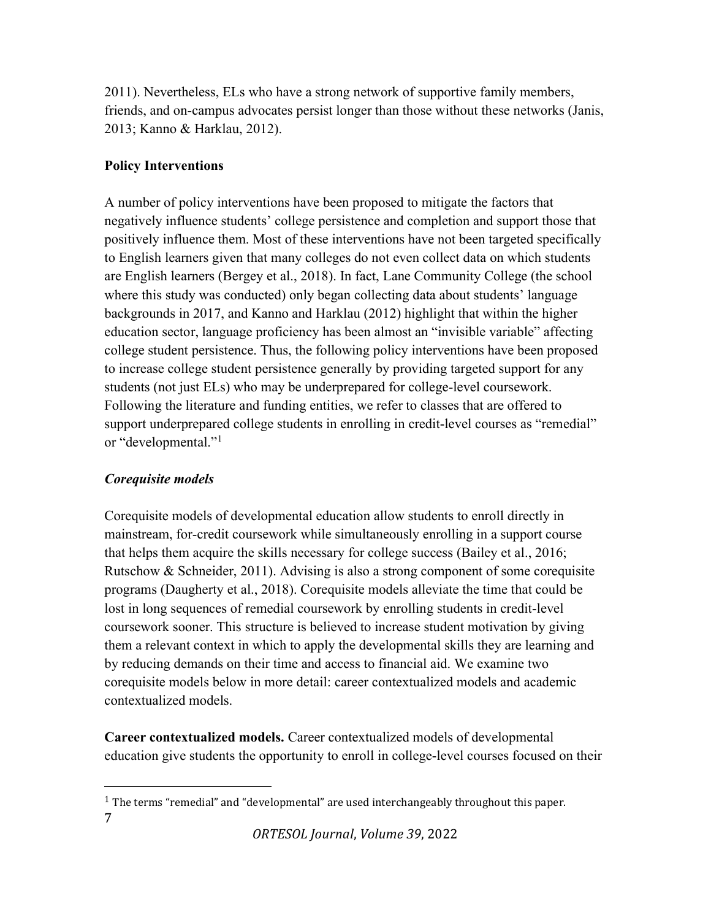2011). Nevertheless, ELs who have a strong network of supportive family members, friends, and on-campus advocates persist longer than those without these networks (Janis, 2013; Kanno & Harklau, 2012).

## Policy Interventions

A number of policy interventions have been proposed to mitigate the factors that negatively influence students' college persistence and completion and support those that positively influence them. Most of these interventions have not been targeted specifically to English learners given that many colleges do not even collect data on which students are English learners (Bergey et al., 2018). In fact, Lane Community College (the school where this study was conducted) only began collecting data about students' language backgrounds in 2017, and Kanno and Harklau (2012) highlight that within the higher education sector, language proficiency has been almost an "invisible variable" affecting college student persistence. Thus, the following policy interventions have been proposed to increase college student persistence generally by providing targeted support for any students (not just ELs) who may be underprepared for college-level coursework. Following the literature and funding entities, we refer to classes that are offered to support underprepared college students in enrolling in credit-level courses as "remedial" or "developmental."<sup>1</sup>

## Corequisite models

Corequisite models of developmental education allow students to enroll directly in mainstream, for-credit coursework while simultaneously enrolling in a support course that helps them acquire the skills necessary for college success (Bailey et al., 2016; Rutschow & Schneider, 2011). Advising is also a strong component of some corequisite programs (Daugherty et al., 2018). Corequisite models alleviate the time that could be lost in long sequences of remedial coursework by enrolling students in credit-level coursework sooner. This structure is believed to increase student motivation by giving them a relevant context in which to apply the developmental skills they are learning and by reducing demands on their time and access to financial aid. We examine two corequisite models below in more detail: career contextualized models and academic contextualized models.

Career contextualized models. Career contextualized models of developmental education give students the opportunity to enroll in college-level courses focused on their

<sup>7</sup>   $1$  The terms "remedial" and "developmental" are used interchangeably throughout this paper.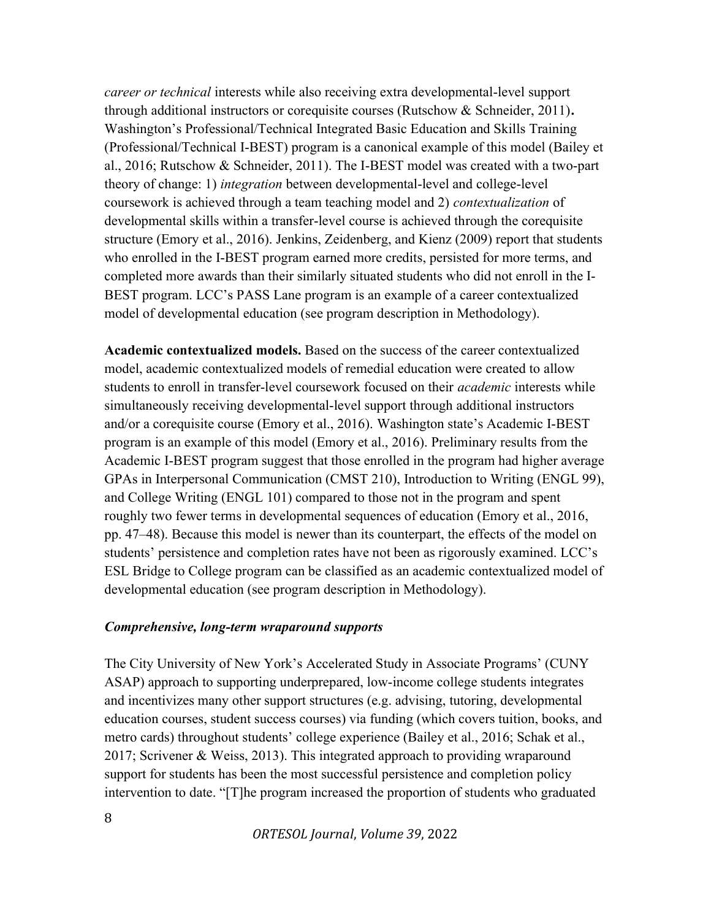career or technical interests while also receiving extra developmental-level support through additional instructors or corequisite courses (Rutschow  $&$  Schneider, 2011). Washington's Professional/Technical Integrated Basic Education and Skills Training (Professional/Technical I-BEST) program is a canonical example of this model (Bailey et al., 2016; Rutschow & Schneider, 2011). The I-BEST model was created with a two-part theory of change: 1) integration between developmental-level and college-level coursework is achieved through a team teaching model and 2) *contextualization* of developmental skills within a transfer-level course is achieved through the corequisite structure (Emory et al., 2016). Jenkins, Zeidenberg, and Kienz (2009) report that students who enrolled in the I-BEST program earned more credits, persisted for more terms, and completed more awards than their similarly situated students who did not enroll in the I-BEST program. LCC's PASS Lane program is an example of a career contextualized model of developmental education (see program description in Methodology).

Academic contextualized models. Based on the success of the career contextualized model, academic contextualized models of remedial education were created to allow students to enroll in transfer-level coursework focused on their *academic* interests while simultaneously receiving developmental-level support through additional instructors and/or a corequisite course (Emory et al., 2016). Washington state's Academic I-BEST program is an example of this model (Emory et al., 2016). Preliminary results from the Academic I-BEST program suggest that those enrolled in the program had higher average GPAs in Interpersonal Communication (CMST 210), Introduction to Writing (ENGL 99), and College Writing (ENGL 101) compared to those not in the program and spent roughly two fewer terms in developmental sequences of education (Emory et al., 2016, pp. 47–48). Because this model is newer than its counterpart, the effects of the model on students' persistence and completion rates have not been as rigorously examined. LCC's ESL Bridge to College program can be classified as an academic contextualized model of developmental education (see program description in Methodology).

#### Comprehensive, long-term wraparound supports

The City University of New York's Accelerated Study in Associate Programs' (CUNY ASAP) approach to supporting underprepared, low-income college students integrates and incentivizes many other support structures (e.g. advising, tutoring, developmental education courses, student success courses) via funding (which covers tuition, books, and metro cards) throughout students' college experience (Bailey et al., 2016; Schak et al., 2017; Scrivener & Weiss, 2013). This integrated approach to providing wraparound support for students has been the most successful persistence and completion policy intervention to date. "[T]he program increased the proportion of students who graduated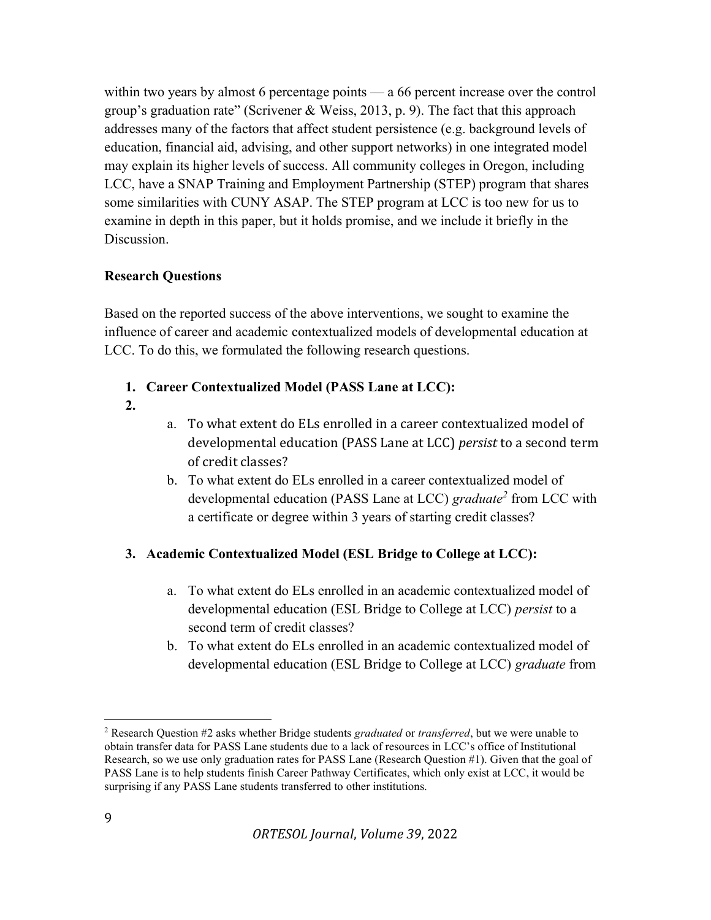within two years by almost 6 percentage points — a 66 percent increase over the control group's graduation rate" (Scrivener & Weiss, 2013, p. 9). The fact that this approach addresses many of the factors that affect student persistence (e.g. background levels of education, financial aid, advising, and other support networks) in one integrated model may explain its higher levels of success. All community colleges in Oregon, including LCC, have a SNAP Training and Employment Partnership (STEP) program that shares some similarities with CUNY ASAP. The STEP program at LCC is too new for us to examine in depth in this paper, but it holds promise, and we include it briefly in the Discussion.

#### Research Questions

Based on the reported success of the above interventions, we sought to examine the influence of career and academic contextualized models of developmental education at LCC. To do this, we formulated the following research questions.

- 1. Career Contextualized Model (PASS Lane at LCC):
- 2.
- a. To what extent do ELs enrolled in a career contextualized model of developmental education (PASS Lane at LCC) persist to a second term of credit classes?
- b. To what extent do ELs enrolled in a career contextualized model of developmental education (PASS Lane at LCC) graduate<sup>2</sup> from LCC with a certificate or degree within 3 years of starting credit classes?

## 3. Academic Contextualized Model (ESL Bridge to College at LCC):

- a. To what extent do ELs enrolled in an academic contextualized model of developmental education (ESL Bridge to College at LCC) persist to a second term of credit classes?
- b. To what extent do ELs enrolled in an academic contextualized model of developmental education (ESL Bridge to College at LCC) graduate from

<sup>&</sup>lt;sup>2</sup> Research Question  $#2$  asks whether Bridge students *graduated* or *transferred*, but we were unable to obtain transfer data for PASS Lane students due to a lack of resources in LCC's office of Institutional Research, so we use only graduation rates for PASS Lane (Research Question #1). Given that the goal of PASS Lane is to help students finish Career Pathway Certificates, which only exist at LCC, it would be surprising if any PASS Lane students transferred to other institutions.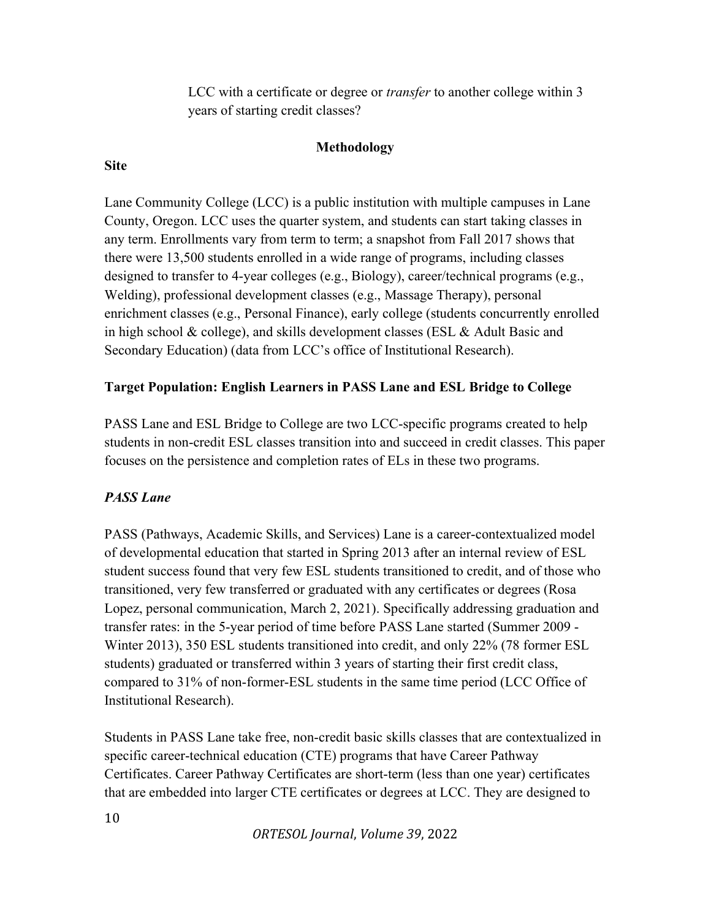LCC with a certificate or degree or *transfer* to another college within 3 years of starting credit classes?

## Methodology

#### Site

Lane Community College (LCC) is a public institution with multiple campuses in Lane County, Oregon. LCC uses the quarter system, and students can start taking classes in any term. Enrollments vary from term to term; a snapshot from Fall 2017 shows that there were 13,500 students enrolled in a wide range of programs, including classes designed to transfer to 4-year colleges (e.g., Biology), career/technical programs (e.g., Welding), professional development classes (e.g., Massage Therapy), personal enrichment classes (e.g., Personal Finance), early college (students concurrently enrolled in high school & college), and skills development classes (ESL & Adult Basic and Secondary Education) (data from LCC's office of Institutional Research).

#### Target Population: English Learners in PASS Lane and ESL Bridge to College

PASS Lane and ESL Bridge to College are two LCC-specific programs created to help students in non-credit ESL classes transition into and succeed in credit classes. This paper focuses on the persistence and completion rates of ELs in these two programs.

## PASS Lane

PASS (Pathways, Academic Skills, and Services) Lane is a career-contextualized model of developmental education that started in Spring 2013 after an internal review of ESL student success found that very few ESL students transitioned to credit, and of those who transitioned, very few transferred or graduated with any certificates or degrees (Rosa Lopez, personal communication, March 2, 2021). Specifically addressing graduation and transfer rates: in the 5-year period of time before PASS Lane started (Summer 2009 - Winter 2013), 350 ESL students transitioned into credit, and only 22% (78 former ESL students) graduated or transferred within 3 years of starting their first credit class, compared to 31% of non-former-ESL students in the same time period (LCC Office of Institutional Research).

Students in PASS Lane take free, non-credit basic skills classes that are contextualized in specific career-technical education (CTE) programs that have Career Pathway Certificates. Career Pathway Certificates are short-term (less than one year) certificates that are embedded into larger CTE certificates or degrees at LCC. They are designed to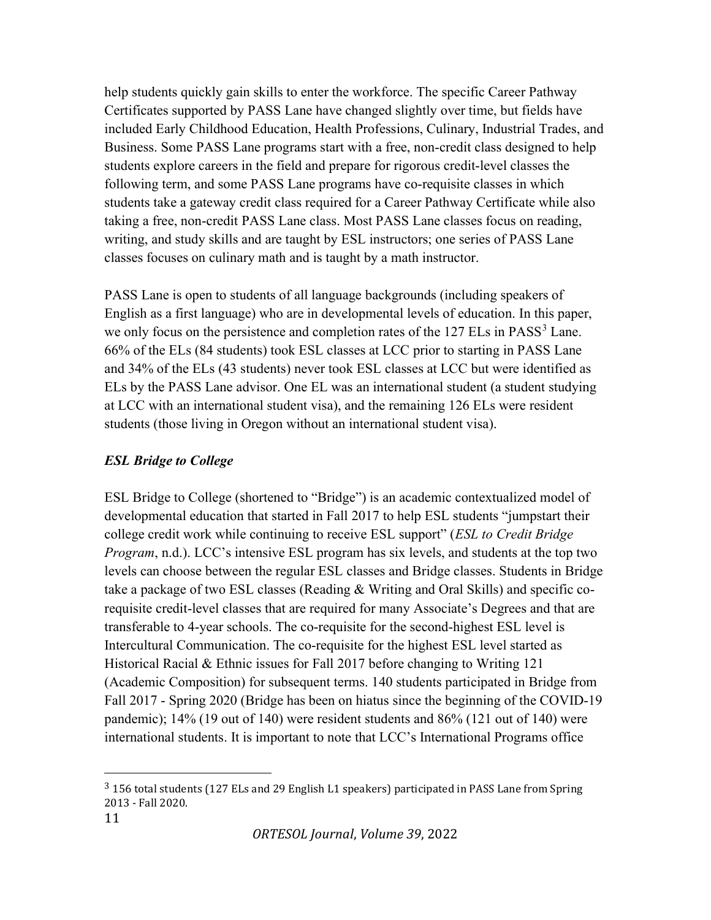help students quickly gain skills to enter the workforce. The specific Career Pathway Certificates supported by PASS Lane have changed slightly over time, but fields have included Early Childhood Education, Health Professions, Culinary, Industrial Trades, and Business. Some PASS Lane programs start with a free, non-credit class designed to help students explore careers in the field and prepare for rigorous credit-level classes the following term, and some PASS Lane programs have co-requisite classes in which students take a gateway credit class required for a Career Pathway Certificate while also taking a free, non-credit PASS Lane class. Most PASS Lane classes focus on reading, writing, and study skills and are taught by ESL instructors; one series of PASS Lane classes focuses on culinary math and is taught by a math instructor.

PASS Lane is open to students of all language backgrounds (including speakers of English as a first language) who are in developmental levels of education. In this paper, we only focus on the persistence and completion rates of the  $127$  ELs in PASS<sup>3</sup> Lane. 66% of the ELs (84 students) took ESL classes at LCC prior to starting in PASS Lane and 34% of the ELs (43 students) never took ESL classes at LCC but were identified as ELs by the PASS Lane advisor. One EL was an international student (a student studying at LCC with an international student visa), and the remaining 126 ELs were resident students (those living in Oregon without an international student visa).

## ESL Bridge to College

ESL Bridge to College (shortened to "Bridge") is an academic contextualized model of developmental education that started in Fall 2017 to help ESL students "jumpstart their college credit work while continuing to receive ESL support" (*ESL to Credit Bridge* Program, n.d.). LCC's intensive ESL program has six levels, and students at the top two levels can choose between the regular ESL classes and Bridge classes. Students in Bridge take a package of two ESL classes (Reading & Writing and Oral Skills) and specific corequisite credit-level classes that are required for many Associate's Degrees and that are transferable to 4-year schools. The co-requisite for the second-highest ESL level is Intercultural Communication. The co-requisite for the highest ESL level started as Historical Racial & Ethnic issues for Fall 2017 before changing to Writing 121 (Academic Composition) for subsequent terms. 140 students participated in Bridge from Fall 2017 - Spring 2020 (Bridge has been on hiatus since the beginning of the COVID-19 pandemic); 14% (19 out of 140) were resident students and 86% (121 out of 140) were international students. It is important to note that LCC's International Programs office

<sup>3</sup> 156 total students (127 ELs and 29 English L1 speakers) participated in PASS Lane from Spring 2013 - Fall 2020.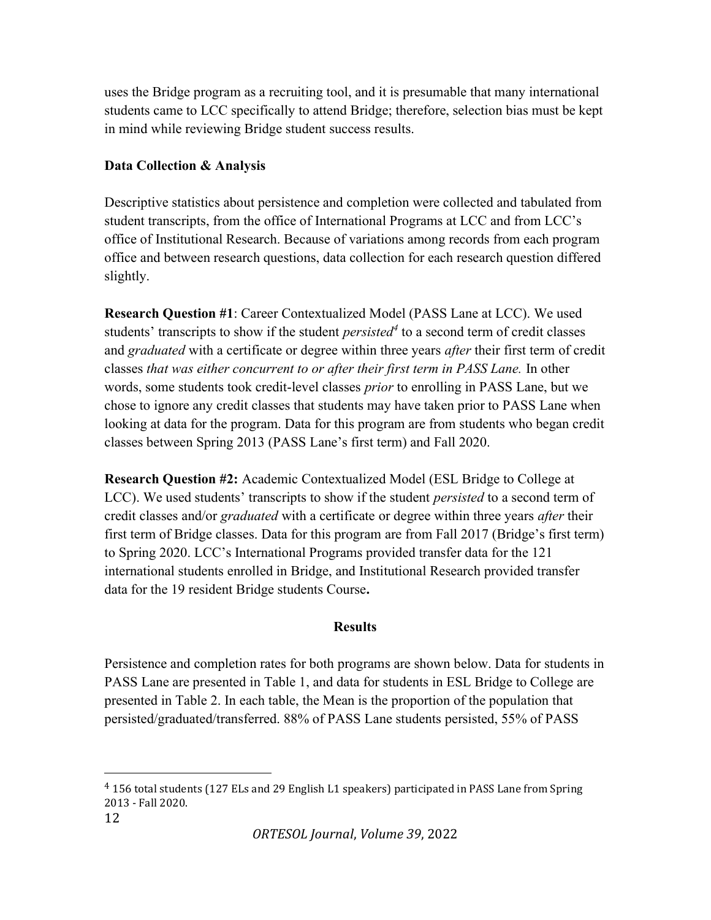uses the Bridge program as a recruiting tool, and it is presumable that many international students came to LCC specifically to attend Bridge; therefore, selection bias must be kept in mind while reviewing Bridge student success results.

## Data Collection & Analysis

Descriptive statistics about persistence and completion were collected and tabulated from student transcripts, from the office of International Programs at LCC and from LCC's office of Institutional Research. Because of variations among records from each program office and between research questions, data collection for each research question differed slightly.

Research Question #1: Career Contextualized Model (PASS Lane at LCC). We used students' transcripts to show if the student *persisted*<sup>4</sup> to a second term of credit classes and graduated with a certificate or degree within three years after their first term of credit classes that was either concurrent to or after their first term in PASS Lane. In other words, some students took credit-level classes prior to enrolling in PASS Lane, but we chose to ignore any credit classes that students may have taken prior to PASS Lane when looking at data for the program. Data for this program are from students who began credit classes between Spring 2013 (PASS Lane's first term) and Fall 2020.

Research Question #2: Academic Contextualized Model (ESL Bridge to College at LCC). We used students' transcripts to show if the student *persisted* to a second term of credit classes and/or graduated with a certificate or degree within three years after their first term of Bridge classes. Data for this program are from Fall 2017 (Bridge's first term) to Spring 2020. LCC's International Programs provided transfer data for the 121 international students enrolled in Bridge, and Institutional Research provided transfer data for the 19 resident Bridge students Course.

#### **Results**

Persistence and completion rates for both programs are shown below. Data for students in PASS Lane are presented in Table 1, and data for students in ESL Bridge to College are presented in Table 2. In each table, the Mean is the proportion of the population that persisted/graduated/transferred. 88% of PASS Lane students persisted, 55% of PASS

<sup>4</sup> 156 total students (127 ELs and 29 English L1 speakers) participated in PASS Lane from Spring 2013 - Fall 2020.

<sup>12</sup>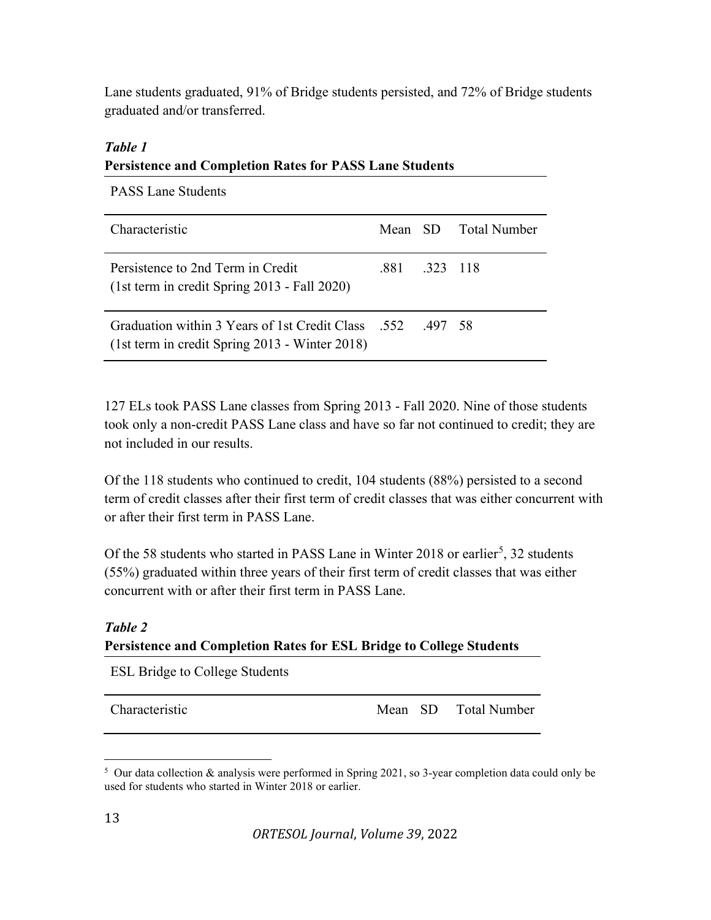Lane students graduated, 91% of Bridge students persisted, and 72% of Bridge students graduated and/or transferred.

## Table 1 Persistence and Completion Rates for PASS Lane Students

| <b>PASS Lane Students</b>                                                                                         |               |                      |
|-------------------------------------------------------------------------------------------------------------------|---------------|----------------------|
| Characteristic                                                                                                    |               | Mean SD Total Number |
| Persistence to 2nd Term in Credit<br>(1st term in credit Spring 2013 - Fall 2020)                                 | .881 .323 118 |                      |
| 497 58 Graduation within 3 Years of 1st Credit Class 552 497 58<br>(1st term in credit Spring 2013 - Winter 2018) |               |                      |

127 ELs took PASS Lane classes from Spring 2013 - Fall 2020. Nine of those students took only a non-credit PASS Lane class and have so far not continued to credit; they are not included in our results.

Of the 118 students who continued to credit, 104 students (88%) persisted to a second term of credit classes after their first term of credit classes that was either concurrent with or after their first term in PASS Lane.

Of the 58 students who started in PASS Lane in Winter 2018 or earlier<sup>5</sup>, 32 students (55%) graduated within three years of their first term of credit classes that was either concurrent with or after their first term in PASS Lane.

## Table 2 Persistence and Completion Rates for ESL Bridge to College Students

ESL Bridge to College Students

Characteristic Mean SD Total Number

<sup>&</sup>lt;sup>5</sup> Our data collection & analysis were performed in Spring 2021, so 3-year completion data could only be used for students who started in Winter 2018 or earlier.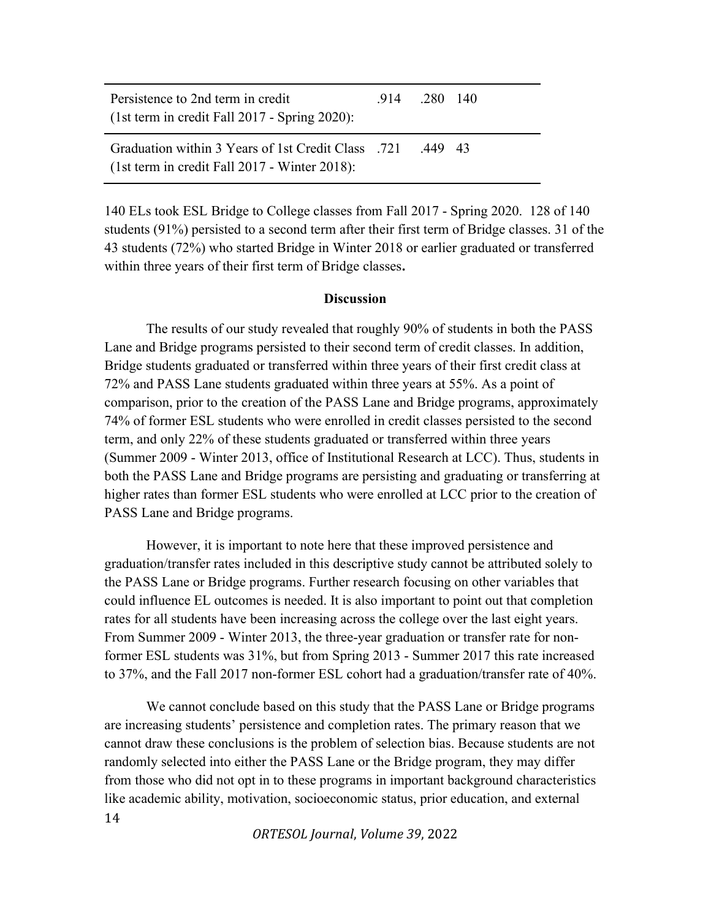| Persistence to 2nd term in credit<br>$(1st$ term in credit Fall 2017 - Spring 2020):                                 | $.914$ $.280$ 140 |  |
|----------------------------------------------------------------------------------------------------------------------|-------------------|--|
| 43 49. Graduation within 3 Years of 1st Credit Class .721 .449 43<br>$(1st term in credit Fall 2017 - Winter 2018):$ |                   |  |

140 ELs took ESL Bridge to College classes from Fall 2017 - Spring 2020. 128 of 140 students (91%) persisted to a second term after their first term of Bridge classes. 31 of the 43 students (72%) who started Bridge in Winter 2018 or earlier graduated or transferred within three years of their first term of Bridge classes.

#### **Discussion**

The results of our study revealed that roughly 90% of students in both the PASS Lane and Bridge programs persisted to their second term of credit classes. In addition, Bridge students graduated or transferred within three years of their first credit class at 72% and PASS Lane students graduated within three years at 55%. As a point of comparison, prior to the creation of the PASS Lane and Bridge programs, approximately 74% of former ESL students who were enrolled in credit classes persisted to the second term, and only 22% of these students graduated or transferred within three years (Summer 2009 - Winter 2013, office of Institutional Research at LCC). Thus, students in both the PASS Lane and Bridge programs are persisting and graduating or transferring at higher rates than former ESL students who were enrolled at LCC prior to the creation of PASS Lane and Bridge programs.

However, it is important to note here that these improved persistence and graduation/transfer rates included in this descriptive study cannot be attributed solely to the PASS Lane or Bridge programs. Further research focusing on other variables that could influence EL outcomes is needed. It is also important to point out that completion rates for all students have been increasing across the college over the last eight years. From Summer 2009 - Winter 2013, the three-year graduation or transfer rate for nonformer ESL students was 31%, but from Spring 2013 - Summer 2017 this rate increased to 37%, and the Fall 2017 non-former ESL cohort had a graduation/transfer rate of 40%.

14 We cannot conclude based on this study that the PASS Lane or Bridge programs are increasing students' persistence and completion rates. The primary reason that we cannot draw these conclusions is the problem of selection bias. Because students are not randomly selected into either the PASS Lane or the Bridge program, they may differ from those who did not opt in to these programs in important background characteristics like academic ability, motivation, socioeconomic status, prior education, and external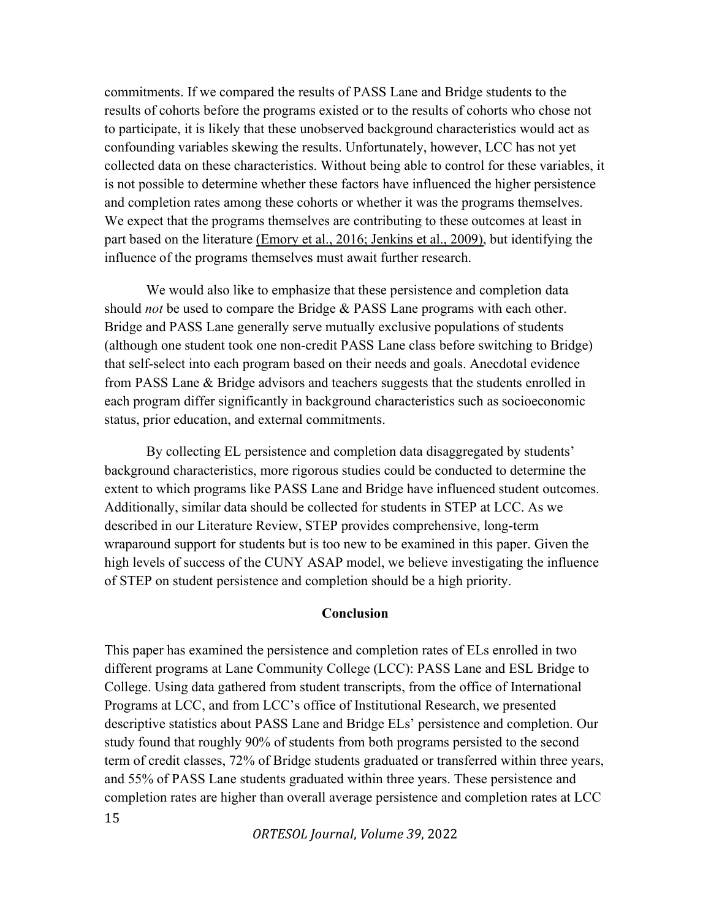commitments. If we compared the results of PASS Lane and Bridge students to the results of cohorts before the programs existed or to the results of cohorts who chose not to participate, it is likely that these unobserved background characteristics would act as confounding variables skewing the results. Unfortunately, however, LCC has not yet collected data on these characteristics. Without being able to control for these variables, it is not possible to determine whether these factors have influenced the higher persistence and completion rates among these cohorts or whether it was the programs themselves. We expect that the programs themselves are contributing to these outcomes at least in part based on the literature (Emory et al., 2016; Jenkins et al., 2009), but identifying the influence of the programs themselves must await further research.

We would also like to emphasize that these persistence and completion data should *not* be used to compare the Bridge & PASS Lane programs with each other. Bridge and PASS Lane generally serve mutually exclusive populations of students (although one student took one non-credit PASS Lane class before switching to Bridge) that self-select into each program based on their needs and goals. Anecdotal evidence from PASS Lane & Bridge advisors and teachers suggests that the students enrolled in each program differ significantly in background characteristics such as socioeconomic status, prior education, and external commitments.

By collecting EL persistence and completion data disaggregated by students' background characteristics, more rigorous studies could be conducted to determine the extent to which programs like PASS Lane and Bridge have influenced student outcomes. Additionally, similar data should be collected for students in STEP at LCC. As we described in our Literature Review, STEP provides comprehensive, long-term wraparound support for students but is too new to be examined in this paper. Given the high levels of success of the CUNY ASAP model, we believe investigating the influence of STEP on student persistence and completion should be a high priority.

#### Conclusion

15 This paper has examined the persistence and completion rates of ELs enrolled in two different programs at Lane Community College (LCC): PASS Lane and ESL Bridge to College. Using data gathered from student transcripts, from the office of International Programs at LCC, and from LCC's office of Institutional Research, we presented descriptive statistics about PASS Lane and Bridge ELs' persistence and completion. Our study found that roughly 90% of students from both programs persisted to the second term of credit classes, 72% of Bridge students graduated or transferred within three years, and 55% of PASS Lane students graduated within three years. These persistence and completion rates are higher than overall average persistence and completion rates at LCC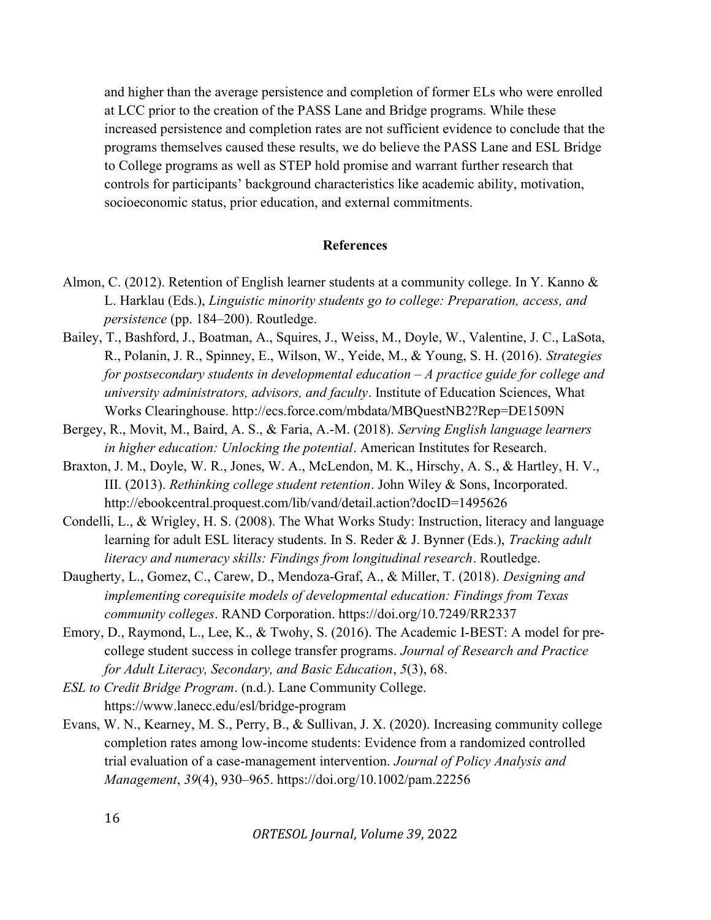and higher than the average persistence and completion of former ELs who were enrolled at LCC prior to the creation of the PASS Lane and Bridge programs. While these increased persistence and completion rates are not sufficient evidence to conclude that the programs themselves caused these results, we do believe the PASS Lane and ESL Bridge to College programs as well as STEP hold promise and warrant further research that controls for participants' background characteristics like academic ability, motivation, socioeconomic status, prior education, and external commitments.

#### References

- Almon, C. (2012). Retention of English learner students at a community college. In Y. Kanno & L. Harklau (Eds.), Linguistic minority students go to college: Preparation, access, and persistence (pp. 184–200). Routledge.
- Bailey, T., Bashford, J., Boatman, A., Squires, J., Weiss, M., Doyle, W., Valentine, J. C., LaSota, R., Polanin, J. R., Spinney, E., Wilson, W., Yeide, M., & Young, S. H. (2016). Strategies for postsecondary students in developmental education  $-A$  practice guide for college and university administrators, advisors, and faculty. Institute of Education Sciences, What Works Clearinghouse. http://ecs.force.com/mbdata/MBQuestNB2?Rep=DE1509N
- Bergey, R., Movit, M., Baird, A. S., & Faria, A.-M. (2018). Serving English language learners in higher education: Unlocking the potential. American Institutes for Research.
- Braxton, J. M., Doyle, W. R., Jones, W. A., McLendon, M. K., Hirschy, A. S., & Hartley, H. V., III. (2013). Rethinking college student retention. John Wiley & Sons, Incorporated. http://ebookcentral.proquest.com/lib/vand/detail.action?docID=1495626
- Condelli, L., & Wrigley, H. S. (2008). The What Works Study: Instruction, literacy and language learning for adult ESL literacy students. In S. Reder & J. Bynner (Eds.), Tracking adult literacy and numeracy skills: Findings from longitudinal research. Routledge.
- Daugherty, L., Gomez, C., Carew, D., Mendoza-Graf, A., & Miller, T. (2018). Designing and implementing corequisite models of developmental education: Findings from Texas community colleges. RAND Corporation. https://doi.org/10.7249/RR2337
- Emory, D., Raymond, L., Lee, K., & Twohy, S. (2016). The Academic I-BEST: A model for precollege student success in college transfer programs. Journal of Research and Practice for Adult Literacy, Secondary, and Basic Education, 5(3), 68.
- ESL to Credit Bridge Program. (n.d.). Lane Community College. https://www.lanecc.edu/esl/bridge-program
- Evans, W. N., Kearney, M. S., Perry, B., & Sullivan, J. X. (2020). Increasing community college completion rates among low-income students: Evidence from a randomized controlled trial evaluation of a case-management intervention. Journal of Policy Analysis and Management, 39(4), 930–965. https://doi.org/10.1002/pam.22256

16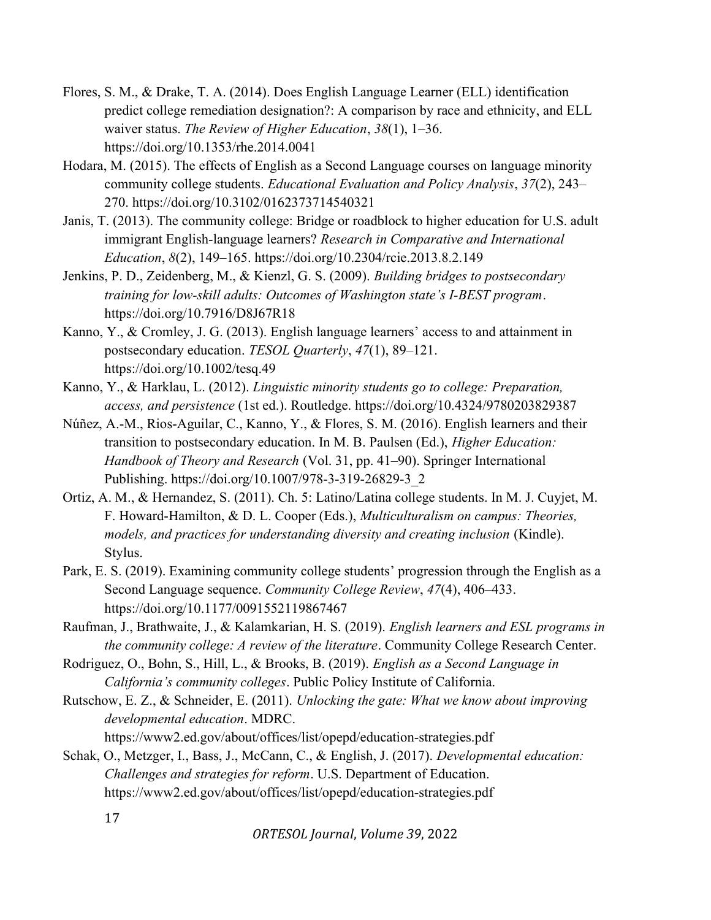- Flores, S. M., & Drake, T. A. (2014). Does English Language Learner (ELL) identification predict college remediation designation?: A comparison by race and ethnicity, and ELL waiver status. The Review of Higher Education, 38(1), 1–36. https://doi.org/10.1353/rhe.2014.0041
- Hodara, M. (2015). The effects of English as a Second Language courses on language minority community college students. Educational Evaluation and Policy Analysis, 37(2), 243– 270. https://doi.org/10.3102/0162373714540321
- Janis, T. (2013). The community college: Bridge or roadblock to higher education for U.S. adult immigrant English-language learners? Research in Comparative and International Education, 8(2), 149–165. https://doi.org/10.2304/rcie.2013.8.2.149
- Jenkins, P. D., Zeidenberg, M., & Kienzl, G. S. (2009). Building bridges to postsecondary training for low-skill adults: Outcomes of Washington state's I-BEST program. https://doi.org/10.7916/D8J67R18
- Kanno, Y., & Cromley, J. G. (2013). English language learners' access to and attainment in postsecondary education. TESOL Quarterly, 47(1), 89-121. https://doi.org/10.1002/tesq.49
- Kanno, Y., & Harklau, L. (2012). Linguistic minority students go to college: Preparation, access, and persistence (1st ed.). Routledge. https://doi.org/10.4324/9780203829387
- Núñez, A.-M., Rios-Aguilar, C., Kanno, Y., & Flores, S. M. (2016). English learners and their transition to postsecondary education. In M. B. Paulsen (Ed.), *Higher Education*: Handbook of Theory and Research (Vol. 31, pp. 41–90). Springer International Publishing. https://doi.org/10.1007/978-3-319-26829-3\_2
- Ortiz, A. M., & Hernandez, S. (2011). Ch. 5: Latino/Latina college students. In M. J. Cuyjet, M. F. Howard-Hamilton, & D. L. Cooper (Eds.), Multiculturalism on campus: Theories, models, and practices for understanding diversity and creating inclusion (Kindle). Stylus.
- Park, E. S. (2019). Examining community college students' progression through the English as a Second Language sequence. Community College Review, 47(4), 406–433. https://doi.org/10.1177/0091552119867467
- Raufman, J., Brathwaite, J., & Kalamkarian, H. S. (2019). English learners and ESL programs in the community college: A review of the literature. Community College Research Center.
- Rodriguez, O., Bohn, S., Hill, L., & Brooks, B. (2019). English as a Second Language in California's community colleges. Public Policy Institute of California.
- Rutschow, E. Z., & Schneider, E. (2011). Unlocking the gate: What we know about improving developmental education. MDRC. https://www2.ed.gov/about/offices/list/opepd/education-strategies.pdf
- Schak, O., Metzger, I., Bass, J., McCann, C., & English, J. (2017). Developmental education: Challenges and strategies for reform. U.S. Department of Education. https://www2.ed.gov/about/offices/list/opepd/education-strategies.pdf

17